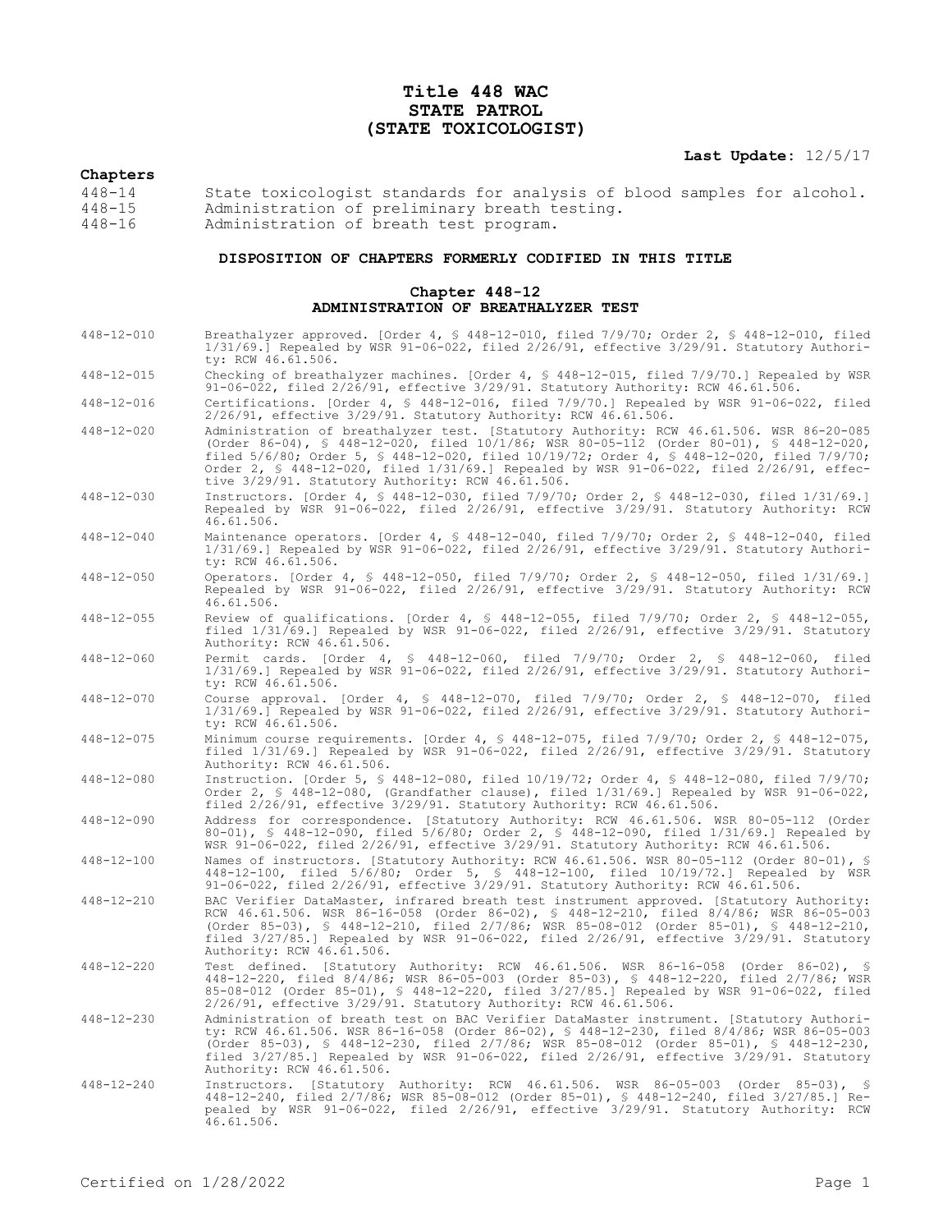# **Title 448 WAC STATE PATROL (STATE TOXICOLOGIST)**

**Last Update:** 12/5/17

## **Chapters**

| $448 - 14$ | State toxicologist standards for analysis of blood samples for alcohol. |
|------------|-------------------------------------------------------------------------|
| 448-15     | Administration of preliminary breath testing.                           |
| $448 - 16$ | Administration of breath test program.                                  |

## **DISPOSITION OF CHAPTERS FORMERLY CODIFIED IN THIS TITLE**

#### **Chapter 448-12 ADMINISTRATION OF BREATHALYZER TEST**

| $448 - 12 - 010$ | Breathalyzer approved. [Order 4, § 448-12-010, filed 7/9/70; Order 2, § 448-12-010, filed<br>$1/31/69$ .] Repealed by WSR 91-06-022, filed $2/26/91$ , effective $3/29/91$ . Statutory Authori-<br>ty: RCW 46.61.506.                                                                                                                                                                                                          |
|------------------|--------------------------------------------------------------------------------------------------------------------------------------------------------------------------------------------------------------------------------------------------------------------------------------------------------------------------------------------------------------------------------------------------------------------------------|
| $448 - 12 - 015$ | Checking of breathalyzer machines. [Order 4, § 448-12-015, filed 7/9/70.] Repealed by WSR<br>91-06-022, filed 2/26/91, effective 3/29/91. Statutory Authority: RCW 46.61.506.                                                                                                                                                                                                                                                  |
| $448 - 12 - 016$ | Certifications. [Order 4, § 448-12-016, filed 7/9/70.] Repealed by WSR 91-06-022, filed<br>2/26/91, effective 3/29/91. Statutory Authority: RCW 46.61.506.                                                                                                                                                                                                                                                                     |
| $448 - 12 - 020$ | Administration of breathalyzer test. [Statutory Authority: RCW 46.61.506. WSR 86-20-085<br>(Order 86-04), § 448-12-020, filed 10/1/86; WSR 80-05-112 (Order 80-01), § 448-12-020,<br>filed 5/6/80; Order 5, § 448-12-020, filed 10/19/72; Order 4, § 448-12-020, filed 7/9/70;<br>Order 2, § 448-12-020, filed 1/31/69.] Repealed by WSR 91-06-022, filed 2/26/91, effec-<br>tive 3/29/91. Statutory Authority: RCW 46.61.506. |
| $448 - 12 - 030$ | Instructors. [Order 4, § 448-12-030, filed 7/9/70; Order 2, § 448-12-030, filed 1/31/69.]<br>Repealed by WSR 91-06-022, filed 2/26/91, effective 3/29/91. Statutory Authority: RCW<br>46.61.506.                                                                                                                                                                                                                               |
| $448 - 12 - 040$ | Maintenance operators. [Order 4, § 448-12-040, filed 7/9/70; Order 2, § 448-12-040, filed<br>$1/31/69$ .] Repealed by WSR 91-06-022, filed $2/26/91$ , effective $3/29/91$ . Statutory Authori-<br>ty: RCW 46.61.506.                                                                                                                                                                                                          |
| $448 - 12 - 050$ | Operators. [Order 4, § 448-12-050, filed 7/9/70; Order 2, § 448-12-050, filed 1/31/69.]<br>Repealed by WSR 91-06-022, filed 2/26/91, effective 3/29/91. Statutory Authority: RCW<br>46.61.506.                                                                                                                                                                                                                                 |
| $448 - 12 - 055$ | Review of qualifications. [Order 4, $\frac{1}{2}$ 448-12-055, filed 7/9/70; Order 2, $\frac{1}{2}$ 448-12-055,<br>filed $1/31/69$ .] Repealed by WSR 91-06-022, filed $2/26/91$ , effective $3/29/91$ . Statutory<br>Authority: RCW 46.61.506.                                                                                                                                                                                 |
| $448 - 12 - 060$ | Permit cards. [Order 4, § 448-12-060, filed 7/9/70; Order 2, § 448-12-060, filed<br>$1/31/69$ .] Repealed by WSR 91-06-022, filed $2/26/91$ , effective $3/29/91$ . Statutory Authori-<br>ty: RCW 46.61.506.                                                                                                                                                                                                                   |
| 448-12-070       | Course approval. [Order 4, § 448-12-070, filed 7/9/70; Order 2, § 448-12-070, filed<br>$1/31/69$ .] Repealed by WSR 91-06-022, filed $2/26/91$ , effective $3/29/91$ . Statutory Authori-<br>ty: RCW 46.61.506.                                                                                                                                                                                                                |
| $448 - 12 - 075$ | Minimum course requirements. [Order 4, § 448-12-075, filed 7/9/70; Order 2, § 448-12-075,<br>filed 1/31/69.] Repealed by WSR 91-06-022, filed 2/26/91, effective 3/29/91. Statutory<br>Authority: RCW 46.61.506.                                                                                                                                                                                                               |
| $448 - 12 - 080$ | Instruction. [Order 5, § 448-12-080, filed 10/19/72; Order 4, § 448-12-080, filed 7/9/70;<br>Order 2, $\frac{1}{5}$ 448-12-080, (Grandfather clause), filed $1/31/69$ .] Repealed by WSR 91-06-022,<br>filed 2/26/91, effective 3/29/91. Statutory Authority: RCW 46.61.506.                                                                                                                                                   |
| $448 - 12 - 090$ | Address for correspondence. [Statutory Authority: RCW 46.61.506. WSR 80-05-112 (Order<br>80-01), § 448-12-090, filed 5/6/80; Order 2, § 448-12-090, filed 1/31/69.] Repealed by<br>WSR 91-06-022, filed 2/26/91, effective 3/29/91. Statutory Authority: RCW 46.61.506.                                                                                                                                                        |
| $448 - 12 - 100$ | Names of instructors. [Statutory Authority: RCW 46.61.506. WSR 80-05-112 (Order 80-01), §<br>448-12-100, filed 5/6/80; Order 5, § 448-12-100, filed 10/19/72.] Repealed by WSR<br>91-06-022, filed 2/26/91, effective 3/29/91. Statutory Authority: RCW 46.61.506.                                                                                                                                                             |
| $448 - 12 - 210$ | BAC Verifier DataMaster, infrared breath test instrument approved. [Statutory Authority:<br>RCW 46.61.506. WSR 86-16-058 (Order 86-02), § 448-12-210, filed 8/4/86; WSR 86-05-003<br>(Order 85-03), \$ 448-12-210, filed 2/7/86; WSR 85-08-012 (Order 85-01), \$ 448-12-210,<br>filed 3/27/85.] Repealed by WSR 91-06-022, filed 2/26/91, effective 3/29/91. Statutory<br>Authority: RCW 46.61.506.                            |
| $448 - 12 - 220$ | Test defined. [Statutory Authority: RCW 46.61.506. WSR 86-16-058 (Order 86-02), §<br>448-12-220, filed 8/4/86, WSR 86-05-003 (Order 85-03), § 448-12-220, filed 2/7/86, WSR<br>85-08-012 (Order 85-01), § 448-12-220, filed 3/27/85.] Repealed by WSR 91-06-022, filed<br>$2/26/91$ , effective $3/29/91$ . Statutory Authority: RCW 46.61.506.                                                                                |
| $448 - 12 - 230$ | Administration of breath test on BAC Verifier DataMaster instrument. [Statutory Authori-<br>ty: RCW 46.61.506. WSR 86-16-058 (Order 86-02), § 448-12-230, filed 8/4/86; WSR 86-05-003<br>(Order 85-03), \$ 448-12-230, filed 2/7/86; WSR 85-08-012 (Order 85-01), \$ 448-12-230,<br>filed 3/27/85.] Repealed by WSR 91-06-022, filed 2/26/91, effective 3/29/91. Statutory<br>Authority: RCW 46.61.506.                        |
| $448 - 12 - 240$ | Instructors. [Statutory Authority: RCW 46.61.506. WSR 86-05-003 (Order 85-03), §<br>448-12-240, filed 2/7/86; WSR 85-08-012 (Order 85-01), § 448-12-240, filed 3/27/85.] Re-<br>pealed by WSR 91-06-022, filed 2/26/91, effective 3/29/91. Statutory Authority: RCW<br>46.61.506.                                                                                                                                              |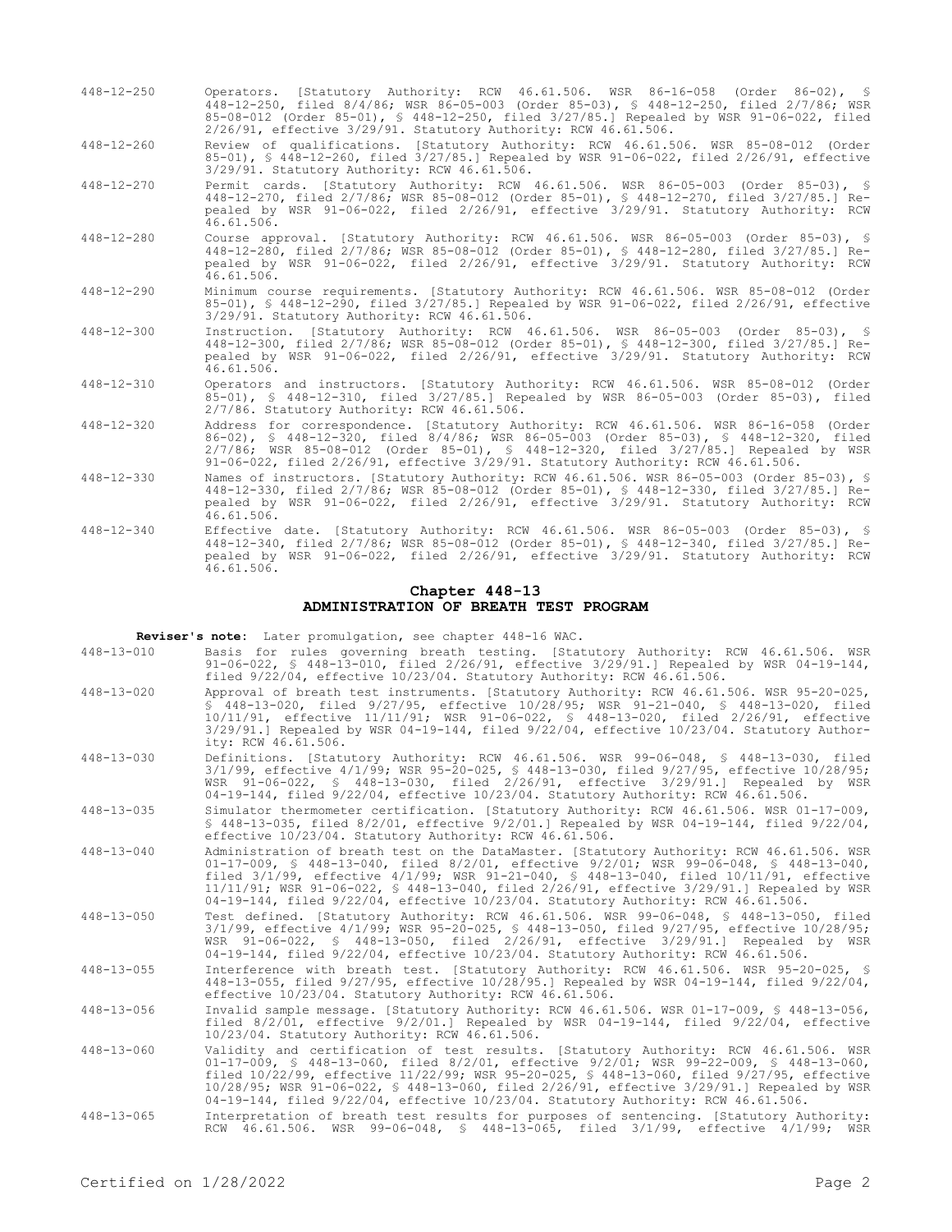448-12-250 Operators. [Statutory Authority: RCW 46.61.506. WSR 86-16-058 (Order 86-02), § 448-12-250, filed 8/4/86; WSR 86-05-003 (Order 85-03), § 448-12-250, filed 2/7/86; WSR 85-08-012 (Order 85-01), § 448-12-250, filed 3/27/85.] Repealed by WSR 91-06-022, filed 2/26/91, effective 3/29/91. Statutory Authority: RCW 46.61.506.

448-12-260 Review of qualifications. [Statutory Authority: RCW 46.61.506. WSR 85-08-012 (Order 85-01), § 448-12-260, filed 3/27/85.] Repealed by WSR 91-06-022, filed 2/26/91, effective 3/29/91. Statutory Authority: RCW 46.61.506.

- 448-12-270 Permit cards. [Statutory Authority: RCW 46.61.506. WSR 86-05-003 (Order 85-03), § 448-12-270, filed 2/7/86; WSR 85-08-012 (Order 85-01), § 448-12-270, filed 3/27/85.] Repealed by WSR 91-06-022, filed 2/26/91, effective 3/29/91. Statutory Authority: RCW  $46.61.506$ .
- 448-12-280 Course approval. [Statutory Authority: RCW 46.61.506. WSR 86-05-003 (Order 85-03), § 448-12-280, filed 2/7/86; WSR 85-08-012 (Order 85-01), § 448-12-280, filed 3/27/85.] Repealed by WSR 91-06-022, filed 2/26/91, effective 3/29/91. Statutory Authority: RCW 46.61.506.
- 448-12-290 Minimum course requirements. [Statutory Authority: RCW 46.61.506. WSR 85-08-012 (Order 85-01), § 448-12-290, filed 3/27/85.] Repealed by WSR 91-06-022, filed 2/26/91, effective 3/29/91. Statutory Authority: RCW 46.61.506.
- 448-12-300 Instruction. [Statutory Authority: RCW 46.61.506. WSR 86-05-003 (Order 85-03), § 448-12-300, filed 2/7/86; WSR 85-08-012 (Order 85-01), § 448-12-300, filed 3/27/85.] Repealed by WSR 91-06-022, filed 2/26/91, effective 3/29/91. Statutory Authority: RCW 46.61.506.
- 448-12-310 Operators and instructors. [Statutory Authority: RCW 46.61.506. WSR 85-08-012 (Order 85-01), § 448-12-310, filed 3/27/85.] Repealed by WSR 86-05-003 (Order 85-03), filed 2/7/86. Statutory Authority: RCW 46.61.506.
- 448-12-320 Address for correspondence. [Statutory Authority: RCW 46.61.506. WSR 86-16-058 (Order 86-02), § 448-12-320, filed 8/4/86; WSR 86-05-003 (Order 85-03), § 448-12-320, filed 2/7/86; WSR 85-08-012 (Order 85-01), § 448-12-320, filed 3/27/85.] Repealed by WSR 91-06-022, filed 2/26/91, effective 3/29/91. Statutory Authority: RCW 46.61.506.
- 448-12-330 Names of instructors. [Statutory Authority: RCW 46.61.506. WSR 86-05-003 (Order 85-03), § 448-12-330, filed 2/7/86; WSR 85-08-012 (Order 85-01), § 448-12-330, filed 3/27/85.] Repealed by WSR 91-06-022, filed 2/26/91, effective 3/29/91. Statutory Authority: RCW 46.61.506.
- 448-12-340 Effective date. [Statutory Authority: RCW 46.61.506. WSR 86-05-003 (Order 85-03), § 448-12-340, filed 2/7/86; WSR 85-08-012 (Order 85-01), § 448-12-340, filed 3/27/85.] Repealed by WSR 91-06-022, filed 2/26/91, effective 3/29/91. Statutory Authority: RCW  $46.61.506$ .

#### **Chapter 448-13 ADMINISTRATION OF BREATH TEST PROGRAM**

**Reviser's note:** Later promulgation, see chapter 448-16 WAC.

- 448-13-010 Basis for rules governing breath testing. [Statutory Authority: RCW 46.61.506. WSR 91-06-022, § 448-13-010, filed 2/26/91, effective 3/29/91.] Repealed by WSR 04-19-144, filed 9/22/04, effective 10/23/04. Statutory Authority: RCW 46.61.506.
- 448-13-020 Approval of breath test instruments. [Statutory Authority: RCW 46.61.506. WSR 95-20-025, § 448-13-020, filed 9/27/95, effective 10/28/95; WSR 91-21-040, § 448-13-020, filed 10/11/91, effective 11/11/91; WSR 91-06-022, § 448-13-020, filed 2/26/91, effective 3/29/91.] Repealed by WSR 04-19-144, filed 9/22/04, effective 10/23/04. Statutory Authority: RCW 46.61.506.
- 448-13-030 Definitions. [Statutory Authority: RCW 46.61.506. WSR 99-06-048, § 448-13-030, filed 3/1/99, effective 4/1/99; WSR 95-20-025, § 448-13-030, filed 9/27/95, effective 10/28/95; WSR 91-06-022, § 448-13-030, filed 2/26/91, effective 3/29/91.] Repealed by WSR 04-19-144, filed 9/22/04, effective 10/23/04. Statutory Authority: RCW 46.61.506.

448-13-035 Simulator thermometer certification. [Statutory Authority: RCW 46.61.506. WSR 01-17-009, § 448-13-035, filed 8/2/01, effective 9/2/01.] Repealed by WSR 04-19-144, filed 9/22/04, effective 10/23/04. Statutory Authority: RCW 46.61.506.

- 448-13-040 Administration of breath test on the DataMaster. [Statutory Authority: RCW 46.61.506. WSR 01-17-009, § 448-13-040, filed 8/2/01, effective 9/2/01; WSR 99-06-048, § 448-13-040, filed 3/1/99, effective 4/1/99; WSR 91-21-040, § 448-13-040, filed 10/11/91, effective 11/11/91; WSR 91-06-022, § 448-13-040, filed 2/26/91, effective 3/29/91.] Repealed by WSR 04-19-144, filed 9/22/04, effective 10/23/04. Statutory Authority: RCW 46.61.506.
- 448-13-050 Test defined. [Statutory Authority: RCW 46.61.506. WSR 99-06-048, § 448-13-050, filed 3/1/99, effective 4/1/99; WSR 95-20-025, § 448-13-050, filed 9/27/95, effective 10/28/95; WSR 91-06-022, § 448-13-050, filed 2/26/91, effective 3/29/91.] Repealed by WSR 04-19-144, filed 9/22/04, effective 10/23/04. Statutory Authority: RCW 46.61.506.
- 448-13-055 Interference with breath test. [Statutory Authority: RCW 46.61.506. WSR 95-20-025, § 448-13-055, filed 9/27/95, effective 10/28/95.] Repealed by WSR 04-19-144, filed 9/22/04, effective 10/23/04. Statutory Authority: RCW 46.61.506.

448-13-056 Invalid sample message. [Statutory Authority: RCW 46.61.506. WSR 01-17-009, § 448-13-056, filed 8/2/01, effective 9/2/01.] Repealed by WSR 04-19-144, filed 9/22/04, effective 10/23/04. Statutory Authority: RCW 46.61.506.

- 448-13-060 Validity and certification of test results. [Statutory Authority: RCW 46.61.506. WSR 01-17-009, § 448-13-060, filed 8/2/01, effective 9/2/01; WSR 99-22-009, § 448-13-060, filed 10/22/99, effective 11/22/99; WSR 95-20-025, § 448-13-060, filed 9/27/95, effective 10/28/95; WSR 91-06-022, § 448-13-060, filed 2/26/91, effective 3/29/91.] Repealed by WSR 04-19-144, filed 9/22/04, effective 10/23/04. Statutory Authority: RCW 46.61.506.
- 448-13-065 Interpretation of breath test results for purposes of sentencing. [Statutory Authority: RCW 46.61.506. WSR 99-06-048, § 448-13-065, filed 3/1/99, effective 4/1/99; WSR